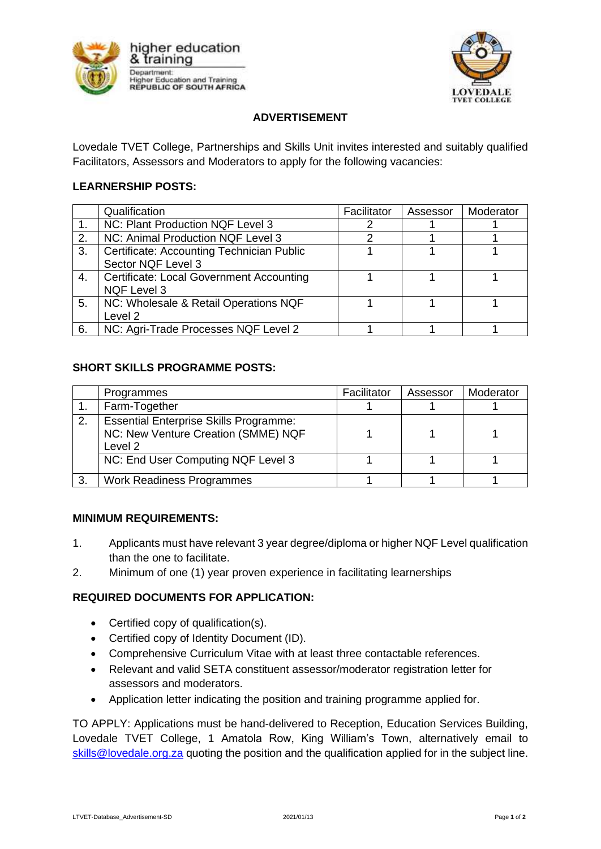



# **ADVERTISEMENT**

Lovedale TVET College, Partnerships and Skills Unit invites interested and suitably qualified Facilitators, Assessors and Moderators to apply for the following vacancies:

### **LEARNERSHIP POSTS:**

|                | Qualification                                                         | Facilitator | Assessor | Moderator |
|----------------|-----------------------------------------------------------------------|-------------|----------|-----------|
| 1 <sub>1</sub> | NC: Plant Production NQF Level 3                                      |             |          |           |
| 2.             | NC: Animal Production NQF Level 3                                     |             |          |           |
| 3.             | Certificate: Accounting Technician Public<br>Sector NQF Level 3       |             |          |           |
| 4.             | <b>Certificate: Local Government Accounting</b><br><b>NQF Level 3</b> |             |          |           |
| 5.             | NC: Wholesale & Retail Operations NQF<br>Level 2                      |             |          |           |
| 6.             | NC: Agri-Trade Processes NQF Level 2                                  |             |          |           |

### **SHORT SKILLS PROGRAMME POSTS:**

|    | Programmes                                                                                      | Facilitator | Assessor | Moderator |
|----|-------------------------------------------------------------------------------------------------|-------------|----------|-----------|
|    | Farm-Together                                                                                   |             |          |           |
| 2. | <b>Essential Enterprise Skills Programme:</b><br>NC: New Venture Creation (SMME) NQF<br>Level 2 |             |          |           |
|    | NC: End User Computing NQF Level 3                                                              |             |          |           |
| 3  | <b>Work Readiness Programmes</b>                                                                |             |          |           |

#### **MINIMUM REQUIREMENTS:**

- 1. Applicants must have relevant 3 year degree/diploma or higher NQF Level qualification than the one to facilitate.
- 2. Minimum of one (1) year proven experience in facilitating learnerships

## **REQUIRED DOCUMENTS FOR APPLICATION:**

- Certified copy of qualification(s).
- Certified copy of Identity Document (ID).
- Comprehensive Curriculum Vitae with at least three contactable references.
- Relevant and valid SETA constituent assessor/moderator registration letter for assessors and moderators.
- Application letter indicating the position and training programme applied for.

TO APPLY: Applications must be hand-delivered to Reception, Education Services Building, Lovedale TVET College, 1 Amatola Row, King William's Town, alternatively email to [skills@lovedale.org.za](mailto:skills@lovedale.org.za) quoting the position and the qualification applied for in the subject line.